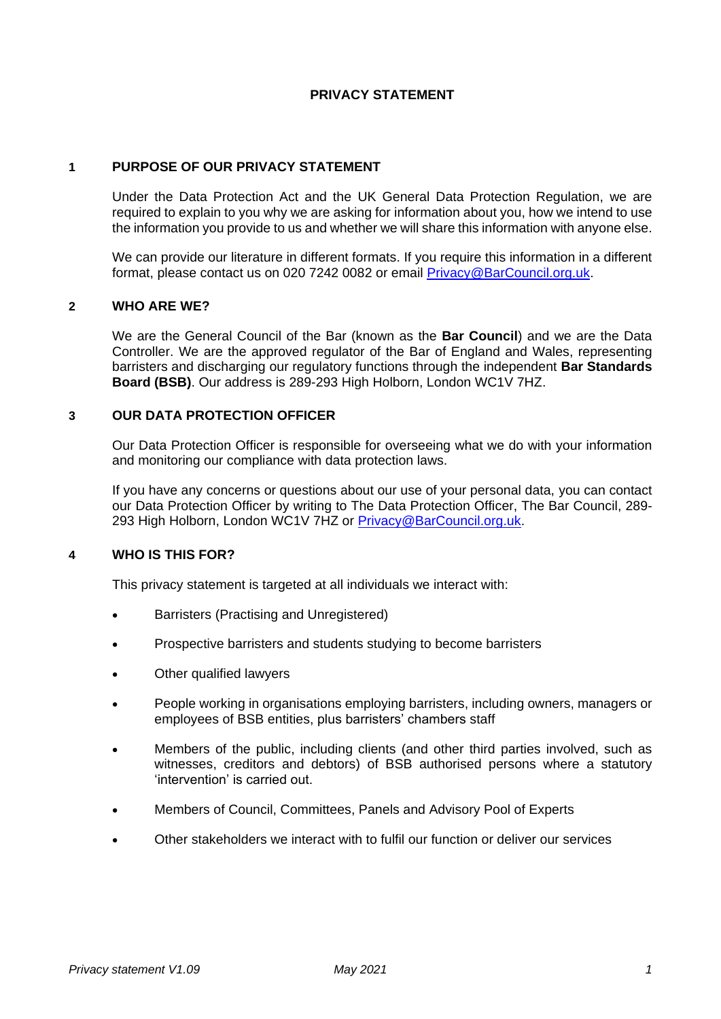## **PRIVACY STATEMENT**

### **1 PURPOSE OF OUR PRIVACY STATEMENT**

Under the Data Protection Act and the UK General Data Protection Regulation, we are required to explain to you why we are asking for information about you, how we intend to use the information you provide to us and whether we will share this information with anyone else.

We can provide our literature in different formats. If you require this information in a different format, please contact us on 020 7242 0082 or email [Privacy@BarCouncil.org.uk.](mailto:Privacy@BarCouncil.org.uk)

### **2 WHO ARE WE?**

We are the General Council of the Bar (known as the **Bar Council**) and we are the Data Controller. We are the approved regulator of the Bar of England and Wales, representing barristers and discharging our regulatory functions through the independent **Bar Standards Board (BSB)**. Our address is 289-293 High Holborn, London WC1V 7HZ.

## **3 OUR DATA PROTECTION OFFICER**

Our Data Protection Officer is responsible for overseeing what we do with your information and monitoring our compliance with data protection laws.

If you have any concerns or questions about our use of your personal data, you can contact our Data Protection Officer by writing to The Data Protection Officer, The Bar Council, 289- 293 High Holborn, London WC1V 7HZ or [Privacy@BarCouncil.org.uk.](mailto:Privacy@BarCouncil.org.uk)

### **4 WHO IS THIS FOR?**

This privacy statement is targeted at all individuals we interact with:

- Barristers (Practising and Unregistered)
- Prospective barristers and students studying to become barristers
- Other qualified lawyers
- People working in organisations employing barristers, including owners, managers or employees of BSB entities, plus barristers' chambers staff
- Members of the public, including clients (and other third parties involved, such as witnesses, creditors and debtors) of BSB authorised persons where a statutory 'intervention' is carried out.
- Members of Council, Committees, Panels and Advisory Pool of Experts
- Other stakeholders we interact with to fulfil our function or deliver our services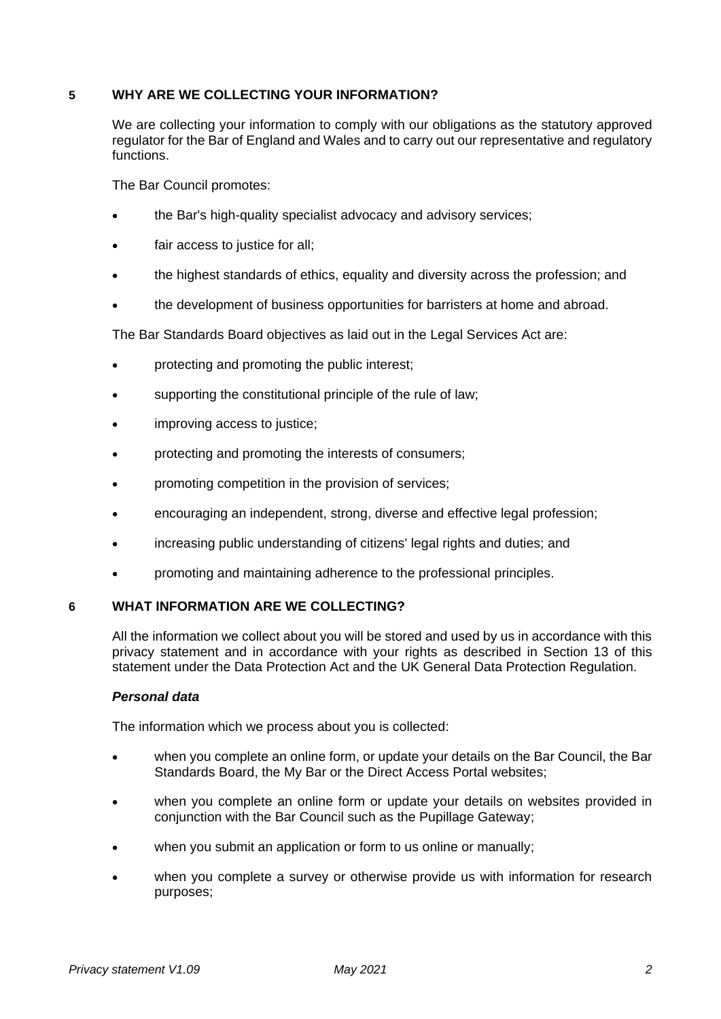# **5 WHY ARE WE COLLECTING YOUR INFORMATION?**

We are collecting your information to comply with our obligations as the statutory approved regulator for the Bar of England and Wales and to carry out our representative and regulatory functions.

The Bar Council promotes:

- the Bar's high-quality specialist advocacy and advisory services;
- fair access to justice for all;
- the highest standards of ethics, equality and diversity across the profession; and
- the development of business opportunities for barristers at home and abroad.

The Bar Standards Board objectives as laid out in the Legal Services Act are:

- protecting and promoting the public interest;
- supporting the constitutional principle of the rule of law;
- improving access to justice:
- protecting and promoting the interests of consumers;
- promoting competition in the provision of services;
- encouraging an independent, strong, diverse and effective legal profession;
- increasing public understanding of citizens' legal rights and duties; and
- promoting and maintaining adherence to the professional principles.

### **6 WHAT INFORMATION ARE WE COLLECTING?**

All the information we collect about you will be stored and used by us in accordance with this privacy statement and in accordance with your rights as described in Section 13 of this statement under the Data Protection Act and the UK General Data Protection Regulation.

### *Personal data*

The information which we process about you is collected:

- when you complete an online form, or update your details on the Bar Council, the Bar Standards Board, the My Bar or the Direct Access Portal websites;
- when you complete an online form or update your details on websites provided in conjunction with the Bar Council such as the Pupillage Gateway;
- when you submit an application or form to us online or manually:
- when you complete a survey or otherwise provide us with information for research purposes;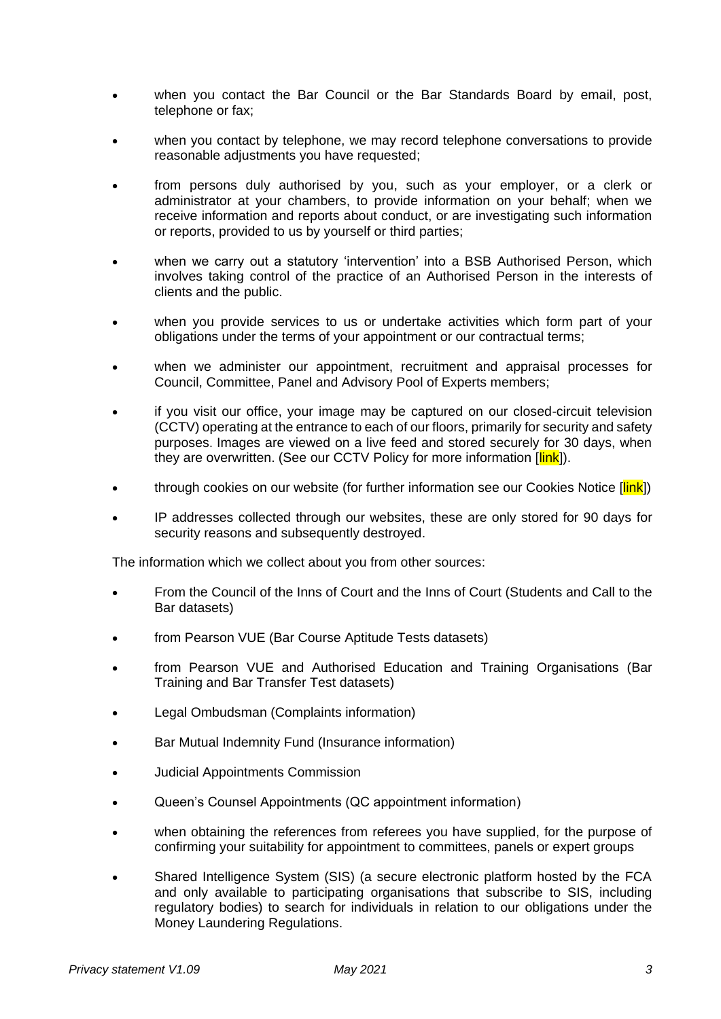- when you contact the Bar Council or the Bar Standards Board by email, post, telephone or fax;
- when you contact by telephone, we may record telephone conversations to provide reasonable adjustments you have requested;
- from persons duly authorised by you, such as your employer, or a clerk or administrator at your chambers, to provide information on your behalf; when we receive information and reports about conduct, or are investigating such information or reports, provided to us by yourself or third parties;
- when we carry out a statutory 'intervention' into a BSB Authorised Person. which involves taking control of the practice of an Authorised Person in the interests of clients and the public.
- when you provide services to us or undertake activities which form part of your obligations under the terms of your appointment or our contractual terms;
- when we administer our appointment, recruitment and appraisal processes for Council, Committee, Panel and Advisory Pool of Experts members;
- if you visit our office, your image may be captured on our closed-circuit television (CCTV) operating at the entrance to each of our floors, primarily for security and safety purposes. Images are viewed on a live feed and stored securely for 30 days, when they are overwritten. (See our CCTV Policy for more information [link]).
- through cookies on our website (for further information see our Cookies Notice [link])
- IP addresses collected through our websites, these are only stored for 90 days for security reasons and subsequently destroyed.

The information which we collect about you from other sources:

- From the Council of the Inns of Court and the Inns of Court (Students and Call to the Bar datasets)
- from Pearson VUE (Bar Course Aptitude Tests datasets)
- from Pearson VUE and Authorised Education and Training Organisations (Bar Training and Bar Transfer Test datasets)
- Legal Ombudsman (Complaints information)
- Bar Mutual Indemnity Fund (Insurance information)
- Judicial Appointments Commission
- Queen's Counsel Appointments (QC appointment information)
- when obtaining the references from referees you have supplied, for the purpose of confirming your suitability for appointment to committees, panels or expert groups
- Shared Intelligence System (SIS) (a secure electronic platform hosted by the FCA and only available to participating organisations that subscribe to SIS, including regulatory bodies) to search for individuals in relation to our obligations under the Money Laundering Regulations.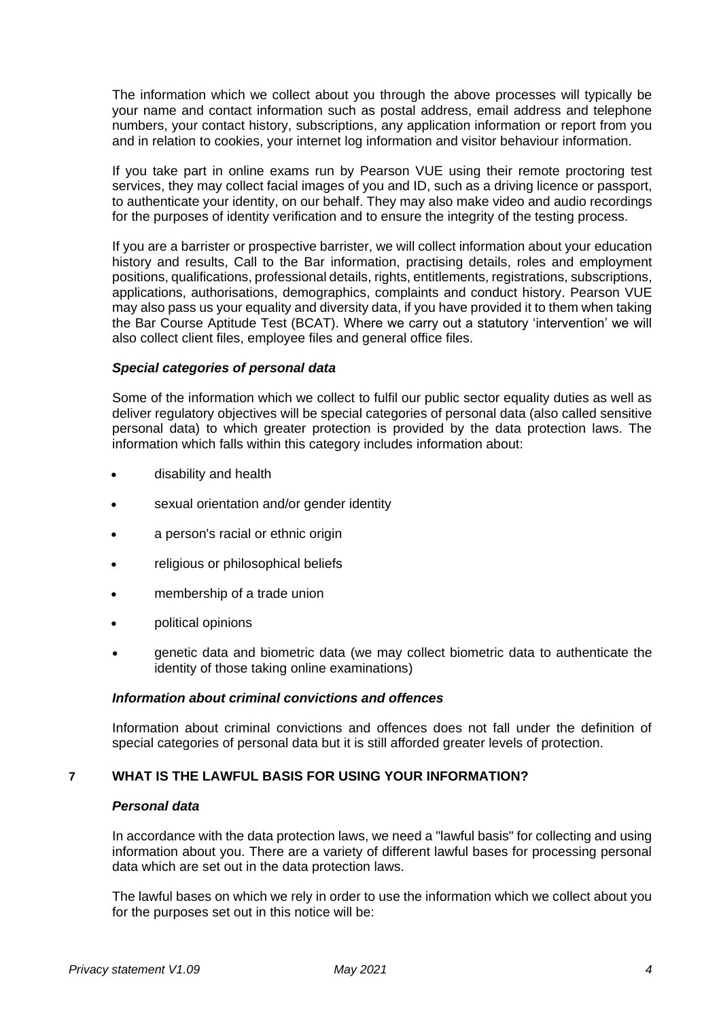The information which we collect about you through the above processes will typically be your name and contact information such as postal address, email address and telephone numbers, your contact history, subscriptions, any application information or report from you and in relation to cookies, your internet log information and visitor behaviour information.

If you take part in online exams run by Pearson VUE using their remote proctoring test services, they may collect facial images of you and ID, such as a driving licence or passport, to authenticate your identity, on our behalf. They may also make video and audio recordings for the purposes of identity verification and to ensure the integrity of the testing process.

If you are a barrister or prospective barrister, we will collect information about your education history and results, Call to the Bar information, practising details, roles and employment positions, qualifications, professional details, rights, entitlements, registrations, subscriptions, applications, authorisations, demographics, complaints and conduct history. Pearson VUE may also pass us your equality and diversity data, if you have provided it to them when taking the Bar Course Aptitude Test (BCAT). Where we carry out a statutory 'intervention' we will also collect client files, employee files and general office files.

### *Special categories of personal data*

Some of the information which we collect to fulfil our public sector equality duties as well as deliver regulatory objectives will be special categories of personal data (also called sensitive personal data) to which greater protection is provided by the data protection laws. The information which falls within this category includes information about:

- disability and health
- sexual orientation and/or gender identity
- a person's racial or ethnic origin
- religious or philosophical beliefs
- membership of a trade union
- political opinions
- genetic data and biometric data (we may collect biometric data to authenticate the identity of those taking online examinations)

### *Information about criminal convictions and offences*

Information about criminal convictions and offences does not fall under the definition of special categories of personal data but it is still afforded greater levels of protection.

# **7 WHAT IS THE LAWFUL BASIS FOR USING YOUR INFORMATION?**

### *Personal data*

In accordance with the data protection laws, we need a "lawful basis" for collecting and using information about you. There are a variety of different lawful bases for processing personal data which are set out in the data protection laws.

The lawful bases on which we rely in order to use the information which we collect about you for the purposes set out in this notice will be: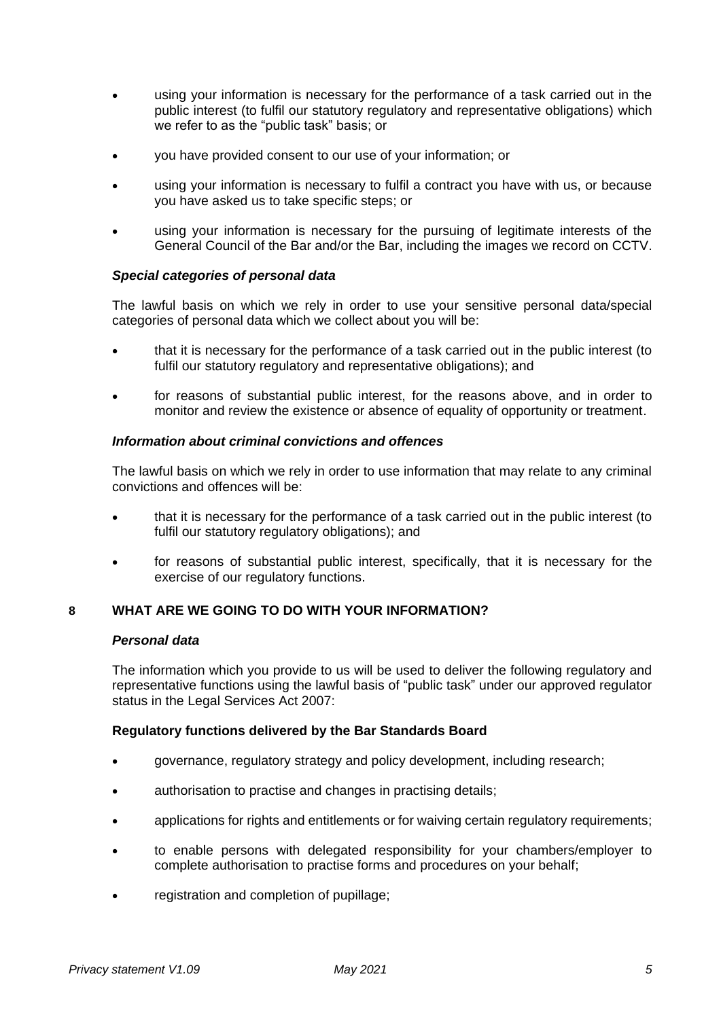- using your information is necessary for the performance of a task carried out in the public interest (to fulfil our statutory regulatory and representative obligations) which we refer to as the "public task" basis; or
- you have provided consent to our use of your information; or
- using your information is necessary to fulfil a contract you have with us, or because you have asked us to take specific steps; or
- using your information is necessary for the pursuing of legitimate interests of the General Council of the Bar and/or the Bar, including the images we record on CCTV.

## *Special categories of personal data*

The lawful basis on which we rely in order to use your sensitive personal data/special categories of personal data which we collect about you will be:

- that it is necessary for the performance of a task carried out in the public interest (to fulfil our statutory regulatory and representative obligations); and
- for reasons of substantial public interest, for the reasons above, and in order to monitor and review the existence or absence of equality of opportunity or treatment.

## *Information about criminal convictions and offences*

The lawful basis on which we rely in order to use information that may relate to any criminal convictions and offences will be:

- that it is necessary for the performance of a task carried out in the public interest (to fulfil our statutory regulatory obligations); and
- for reasons of substantial public interest, specifically, that it is necessary for the exercise of our regulatory functions.

# **8 WHAT ARE WE GOING TO DO WITH YOUR INFORMATION?**

### *Personal data*

The information which you provide to us will be used to deliver the following regulatory and representative functions using the lawful basis of "public task" under our approved regulator status in the Legal Services Act 2007:

### **Regulatory functions delivered by the Bar Standards Board**

- governance, regulatory strategy and policy development, including research;
- authorisation to practise and changes in practising details;
- applications for rights and entitlements or for waiving certain regulatory requirements;
- to enable persons with delegated responsibility for your chambers/employer to complete authorisation to practise forms and procedures on your behalf;
- registration and completion of pupillage;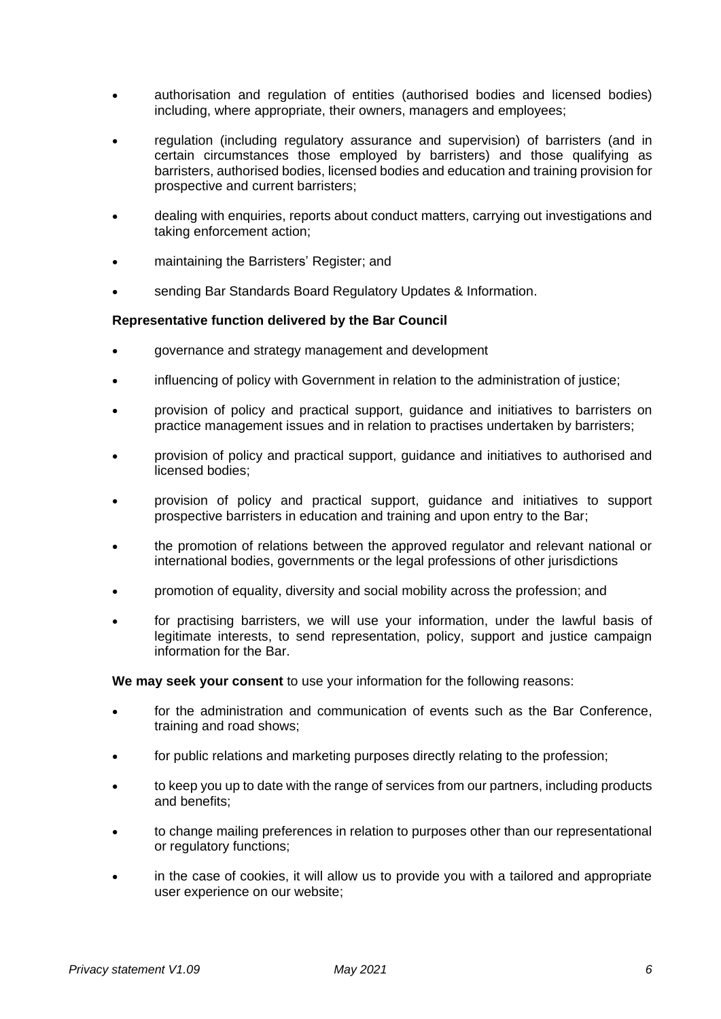- authorisation and regulation of entities (authorised bodies and licensed bodies) including, where appropriate, their owners, managers and employees;
- regulation (including regulatory assurance and supervision) of barristers (and in certain circumstances those employed by barristers) and those qualifying as barristers, authorised bodies, licensed bodies and education and training provision for prospective and current barristers;
- dealing with enquiries, reports about conduct matters, carrying out investigations and taking enforcement action;
- maintaining the Barristers' Register; and
- sending Bar Standards Board Regulatory Updates & Information.

## **Representative function delivered by the Bar Council**

- governance and strategy management and development
- influencing of policy with Government in relation to the administration of justice;
- provision of policy and practical support, guidance and initiatives to barristers on practice management issues and in relation to practises undertaken by barristers;
- provision of policy and practical support, guidance and initiatives to authorised and licensed bodies;
- provision of policy and practical support, guidance and initiatives to support prospective barristers in education and training and upon entry to the Bar;
- the promotion of relations between the approved regulator and relevant national or international bodies, governments or the legal professions of other jurisdictions
- promotion of equality, diversity and social mobility across the profession; and
- for practising barristers, we will use your information, under the lawful basis of legitimate interests, to send representation, policy, support and justice campaign information for the Bar.

**We may seek your consent** to use your information for the following reasons:

- for the administration and communication of events such as the Bar Conference, training and road shows;
- for public relations and marketing purposes directly relating to the profession;
- to keep you up to date with the range of services from our partners, including products and benefits;
- to change mailing preferences in relation to purposes other than our representational or regulatory functions;
- in the case of cookies, it will allow us to provide you with a tailored and appropriate user experience on our website;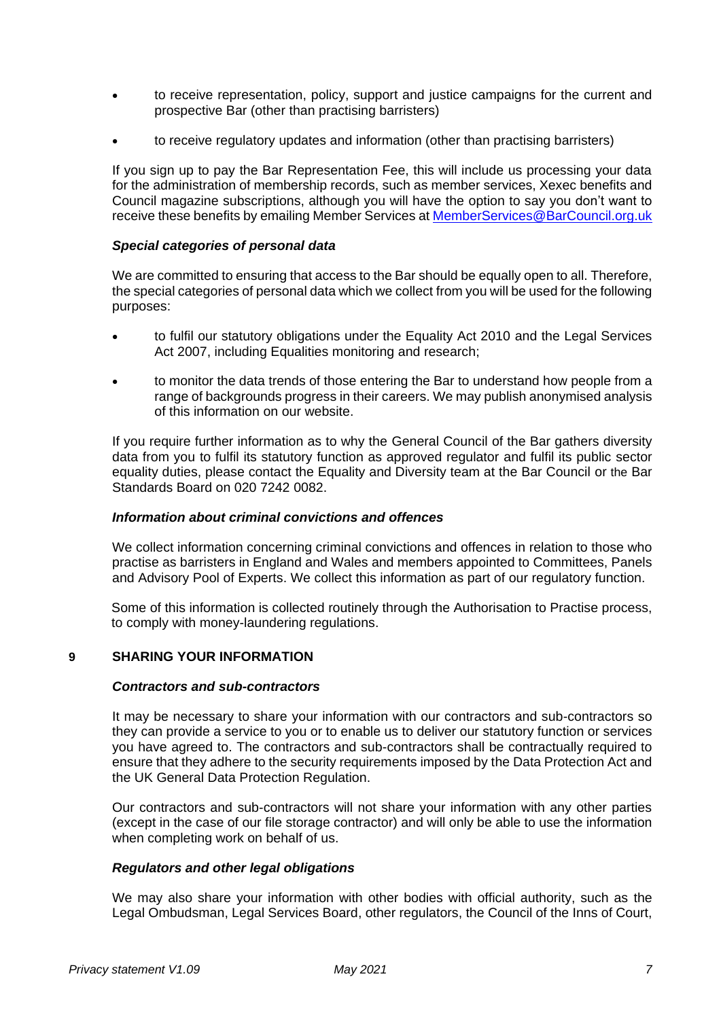- to receive representation, policy, support and justice campaigns for the current and prospective Bar (other than practising barristers)
- to receive regulatory updates and information (other than practising barristers)

If you sign up to pay the Bar Representation Fee, this will include us processing your data for the administration of membership records, such as member services, Xexec benefits and Council magazine subscriptions, although you will have the option to say you don't want to receive these benefits by emailing Member Services at [MemberServices@BarCouncil.org.uk](mailto:MemberServices@BarCouncil.org.uk)

### *Special categories of personal data*

We are committed to ensuring that access to the Bar should be equally open to all. Therefore, the special categories of personal data which we collect from you will be used for the following purposes:

- to fulfil our statutory obligations under the Equality Act 2010 and the Legal Services Act 2007, including Equalities monitoring and research;
- to monitor the data trends of those entering the Bar to understand how people from a range of backgrounds progress in their careers. We may publish anonymised analysis of this information on our website.

If you require further information as to why the General Council of the Bar gathers diversity data from you to fulfil its statutory function as approved regulator and fulfil its public sector equality duties, please contact the Equality and Diversity team at the Bar Council or the Bar Standards Board on 020 7242 0082.

### *Information about criminal convictions and offences*

We collect information concerning criminal convictions and offences in relation to those who practise as barristers in England and Wales and members appointed to Committees, Panels and Advisory Pool of Experts. We collect this information as part of our regulatory function.

Some of this information is collected routinely through the Authorisation to Practise process, to comply with money-laundering regulations.

## **9 SHARING YOUR INFORMATION**

#### *Contractors and sub-contractors*

It may be necessary to share your information with our contractors and sub-contractors so they can provide a service to you or to enable us to deliver our statutory function or services you have agreed to. The contractors and sub-contractors shall be contractually required to ensure that they adhere to the security requirements imposed by the Data Protection Act and the UK General Data Protection Regulation.

Our contractors and sub-contractors will not share your information with any other parties (except in the case of our file storage contractor) and will only be able to use the information when completing work on behalf of us.

### *Regulators and other legal obligations*

We may also share your information with other bodies with official authority, such as the Legal Ombudsman, Legal Services Board, other regulators, the Council of the Inns of Court,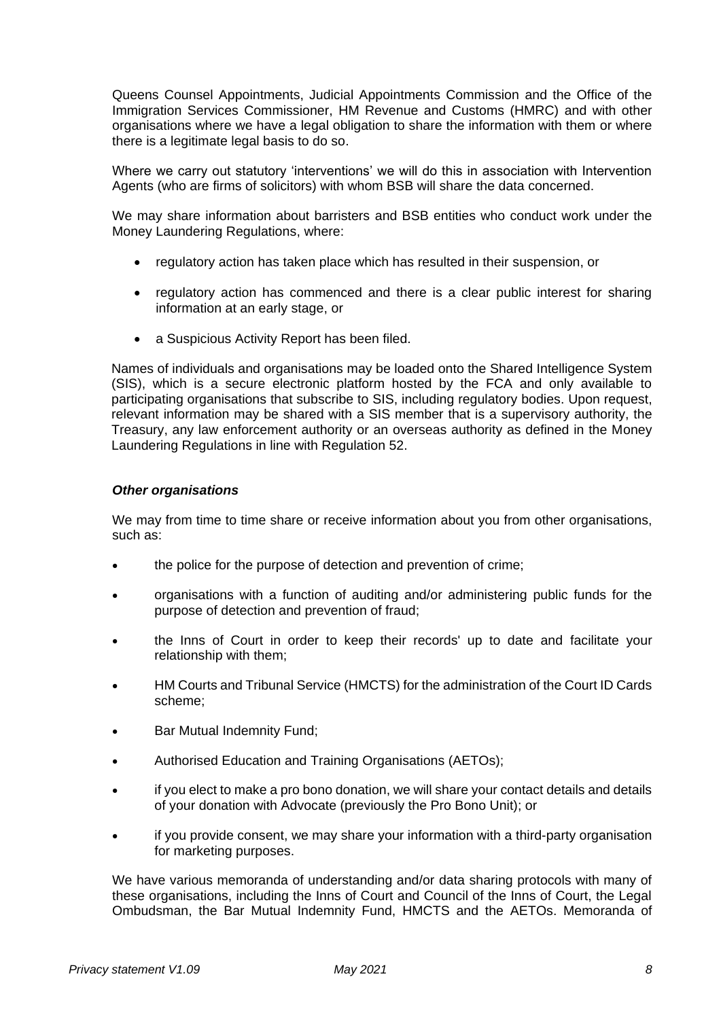Queens Counsel Appointments, Judicial Appointments Commission and the Office of the Immigration Services Commissioner, HM Revenue and Customs (HMRC) and with other organisations where we have a legal obligation to share the information with them or where there is a legitimate legal basis to do so.

Where we carry out statutory 'interventions' we will do this in association with Intervention Agents (who are firms of solicitors) with whom BSB will share the data concerned.

We may share information about barristers and BSB entities who conduct work under the Money Laundering Regulations, where:

- regulatory action has taken place which has resulted in their suspension, or
- regulatory action has commenced and there is a clear public interest for sharing information at an early stage, or
- a Suspicious Activity Report has been filed.

Names of individuals and organisations may be loaded onto the Shared Intelligence System (SIS), which is a secure electronic platform hosted by the FCA and only available to participating organisations that subscribe to SIS, including regulatory bodies. Upon request, relevant information may be shared with a SIS member that is a supervisory authority, the Treasury, any law enforcement authority or an overseas authority as defined in the Money Laundering Regulations in line with Regulation 52.

## *Other organisations*

We may from time to time share or receive information about you from other organisations, such as:

- the police for the purpose of detection and prevention of crime;
- organisations with a function of auditing and/or administering public funds for the purpose of detection and prevention of fraud;
- the Inns of Court in order to keep their records' up to date and facilitate your relationship with them;
- HM Courts and Tribunal Service (HMCTS) for the administration of the Court ID Cards scheme;
- Bar Mutual Indemnity Fund;
- Authorised Education and Training Organisations (AETOs);
- if you elect to make a pro bono donation, we will share your contact details and details of your donation with Advocate (previously the Pro Bono Unit); or
- if you provide consent, we may share your information with a third-party organisation for marketing purposes.

We have various memoranda of understanding and/or data sharing protocols with many of these organisations, including the Inns of Court and Council of the Inns of Court, the Legal Ombudsman, the Bar Mutual Indemnity Fund, HMCTS and the AETOs. Memoranda of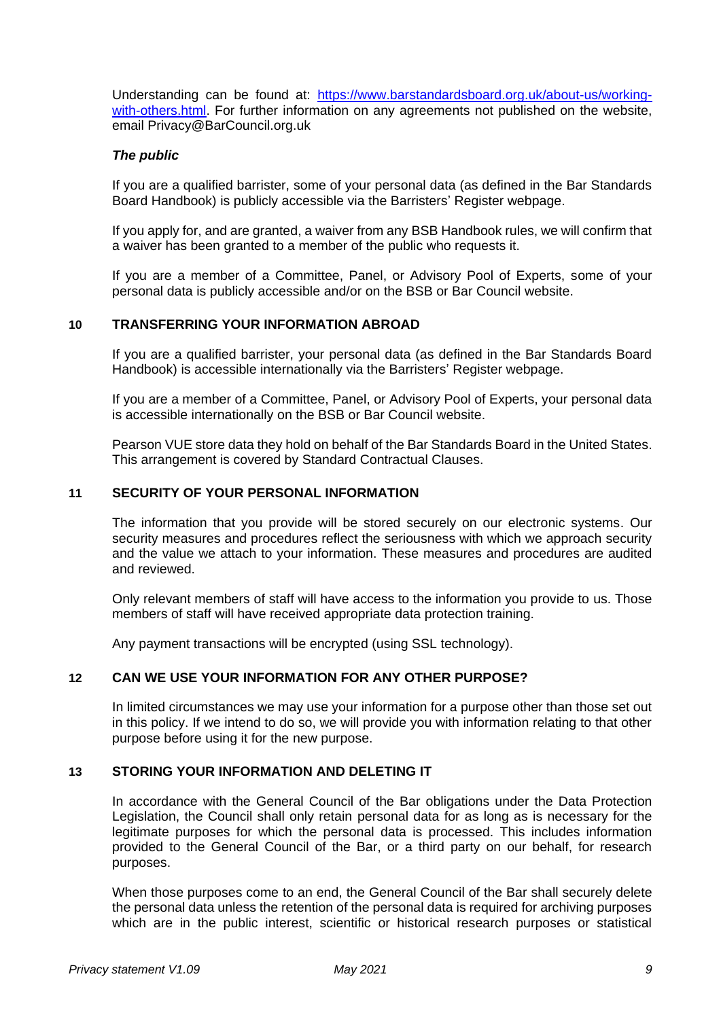Understanding can be found at: [https://www.barstandardsboard.org.uk/about-us/working](https://www.barstandardsboard.org.uk/about-us/working-with-others.html)[with-others.html.](https://www.barstandardsboard.org.uk/about-us/working-with-others.html) For further information on any agreements not published on the website, email Privacy@BarCouncil.org.uk

### *The public*

If you are a qualified barrister, some of your personal data (as defined in the Bar Standards Board Handbook) is publicly accessible via the Barristers' Register webpage.

If you apply for, and are granted, a waiver from any BSB Handbook rules, we will confirm that a waiver has been granted to a member of the public who requests it.

If you are a member of a Committee, Panel, or Advisory Pool of Experts, some of your personal data is publicly accessible and/or on the BSB or Bar Council website.

### **10 TRANSFERRING YOUR INFORMATION ABROAD**

If you are a qualified barrister, your personal data (as defined in the Bar Standards Board Handbook) is accessible internationally via the Barristers' Register webpage.

If you are a member of a Committee, Panel, or Advisory Pool of Experts, your personal data is accessible internationally on the BSB or Bar Council website.

Pearson VUE store data they hold on behalf of the Bar Standards Board in the United States. This arrangement is covered by Standard Contractual Clauses.

#### **11 SECURITY OF YOUR PERSONAL INFORMATION**

The information that you provide will be stored securely on our electronic systems. Our security measures and procedures reflect the seriousness with which we approach security and the value we attach to your information. These measures and procedures are audited and reviewed.

Only relevant members of staff will have access to the information you provide to us. Those members of staff will have received appropriate data protection training.

Any payment transactions will be encrypted (using SSL technology).

### **12 CAN WE USE YOUR INFORMATION FOR ANY OTHER PURPOSE?**

In limited circumstances we may use your information for a purpose other than those set out in this policy. If we intend to do so, we will provide you with information relating to that other purpose before using it for the new purpose.

#### **13 STORING YOUR INFORMATION AND DELETING IT**

In accordance with the General Council of the Bar obligations under the Data Protection Legislation, the Council shall only retain personal data for as long as is necessary for the legitimate purposes for which the personal data is processed. This includes information provided to the General Council of the Bar, or a third party on our behalf, for research purposes.

When those purposes come to an end, the General Council of the Bar shall securely delete the personal data unless the retention of the personal data is required for archiving purposes which are in the public interest, scientific or historical research purposes or statistical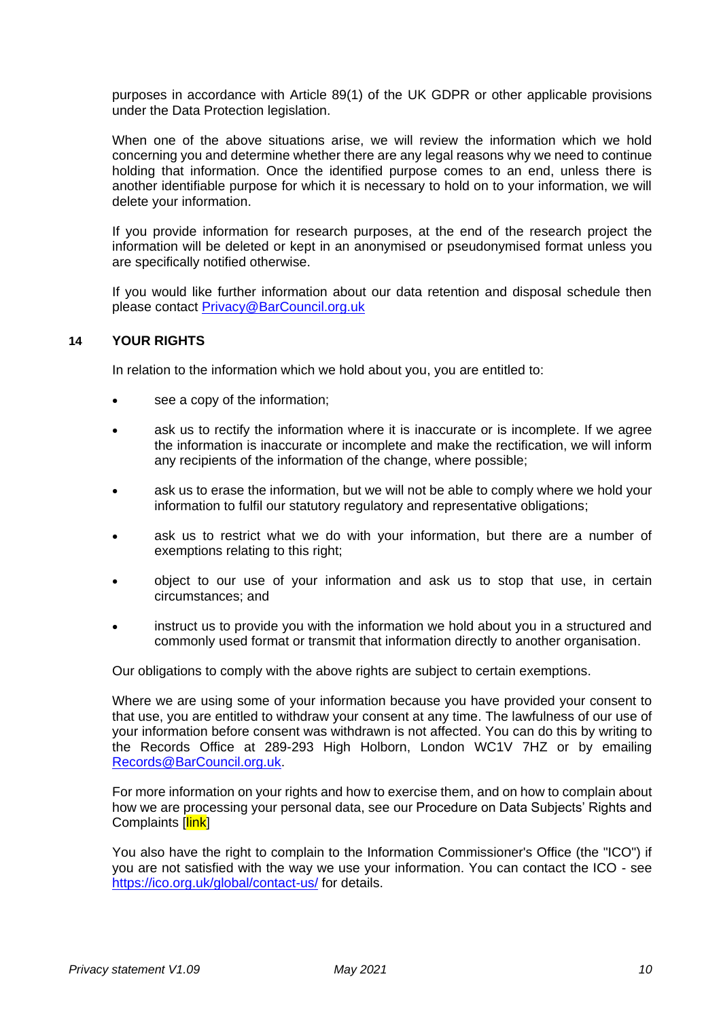purposes in accordance with Article 89(1) of the UK GDPR or other applicable provisions under the Data Protection legislation.

When one of the above situations arise, we will review the information which we hold concerning you and determine whether there are any legal reasons why we need to continue holding that information. Once the identified purpose comes to an end, unless there is another identifiable purpose for which it is necessary to hold on to your information, we will delete your information.

If you provide information for research purposes, at the end of the research project the information will be deleted or kept in an anonymised or pseudonymised format unless you are specifically notified otherwise.

If you would like further information about our data retention and disposal schedule then please contact [Privacy@BarCouncil.org.uk](mailto:Privacy@BarCouncil.org.uk)

## **14 YOUR RIGHTS**

In relation to the information which we hold about you, you are entitled to:

- see a copy of the information;
- ask us to rectify the information where it is inaccurate or is incomplete. If we agree the information is inaccurate or incomplete and make the rectification, we will inform any recipients of the information of the change, where possible;
- ask us to erase the information, but we will not be able to comply where we hold your information to fulfil our statutory regulatory and representative obligations;
- ask us to restrict what we do with your information, but there are a number of exemptions relating to this right;
- object to our use of your information and ask us to stop that use, in certain circumstances; and
- instruct us to provide you with the information we hold about you in a structured and commonly used format or transmit that information directly to another organisation.

Our obligations to comply with the above rights are subject to certain exemptions.

Where we are using some of your information because you have provided your consent to that use, you are entitled to withdraw your consent at any time. The lawfulness of our use of your information before consent was withdrawn is not affected. You can do this by writing to the Records Office at 289-293 High Holborn, London WC1V 7HZ or by emailing [Records@BarCouncil.org.uk.](mailto:Records@BarCouncil.org.uk)

For more information on your rights and how to exercise them, and on how to complain about how we are processing your personal data, see our Procedure on Data Subjects' Rights and Complaints [link]

You also have the right to complain to the Information Commissioner's Office (the "ICO") if you are not satisfied with the way we use your information. You can contact the ICO [-](mailto:-) see <https://ico.org.uk/global/contact-us/> for details.